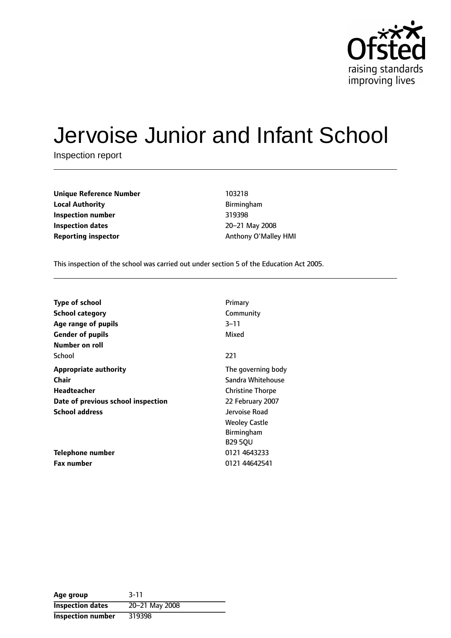

# Jervoise Junior and Infant School

Inspection report

| <b>Unique Reference Number</b> |
|--------------------------------|
| <b>Local Authority</b>         |
| <b>Inspection number</b>       |
| <b>Inspection dates</b>        |
| <b>Reporting inspector</b>     |

**Unique Reference Number** 103218 **Local Authority** Birmingham **Inspection number** 319398 **Inspection dates** 2021 May 2008 **Reporting inspector Reporting inspector** Anthony O'Malley HMI

This inspection of the school was carried out under section 5 of the Education Act 2005.

| <b>Type of school</b>              | Primary                 |
|------------------------------------|-------------------------|
| <b>School category</b>             | Community               |
| Age range of pupils                | $3 - 11$                |
| <b>Gender of pupils</b>            | Mixed                   |
| Number on roll                     |                         |
| School                             | 221                     |
| <b>Appropriate authority</b>       | The governing body      |
| Chair                              | Sandra Whitehouse       |
| Headteacher                        | <b>Christine Thorpe</b> |
| Date of previous school inspection | 22 February 2007        |
| <b>School address</b>              | Jervoise Road           |
|                                    | <b>Weoley Castle</b>    |
|                                    | <b>Birmingham</b>       |
|                                    | <b>B29 50U</b>          |
| Telephone number                   | 0121 4643233            |
| <b>Fax number</b>                  | 0121 44642541           |

| Age group                | $3 - 11$       |
|--------------------------|----------------|
| <b>Inspection dates</b>  | 20-21 May 2008 |
| <b>Inspection number</b> | 319398         |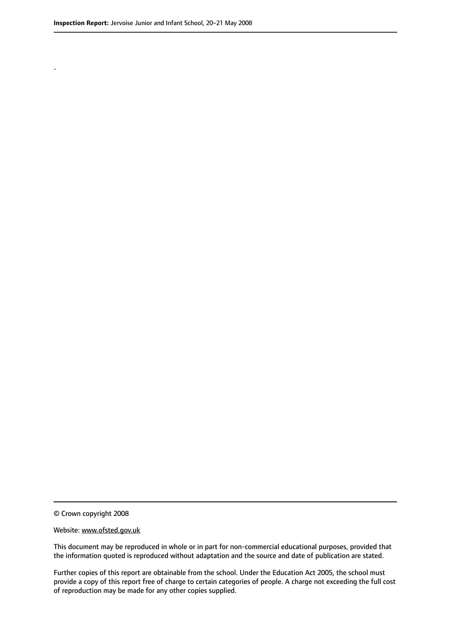.

© Crown copyright 2008

#### Website: www.ofsted.gov.uk

This document may be reproduced in whole or in part for non-commercial educational purposes, provided that the information quoted is reproduced without adaptation and the source and date of publication are stated.

Further copies of this report are obtainable from the school. Under the Education Act 2005, the school must provide a copy of this report free of charge to certain categories of people. A charge not exceeding the full cost of reproduction may be made for any other copies supplied.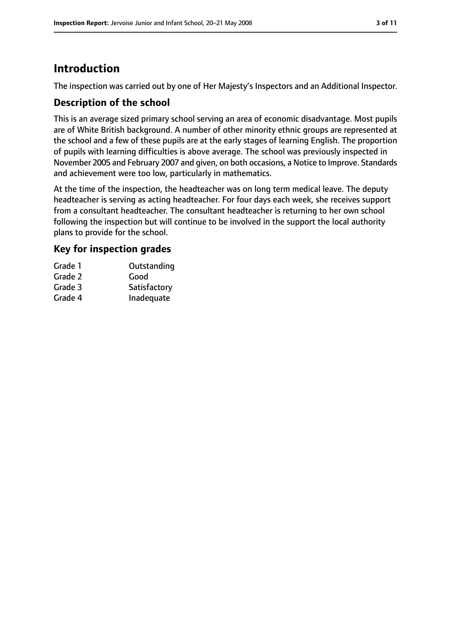# **Introduction**

The inspection was carried out by one of Her Majesty's Inspectors and an Additional Inspector.

# **Description of the school**

This is an average sized primary school serving an area of economic disadvantage. Most pupils are of White British background. A number of other minority ethnic groups are represented at the school and a few of these pupils are at the early stages of learning English. The proportion of pupils with learning difficulties is above average. The school was previously inspected in November 2005 and February 2007 and given, on both occasions, a Notice to Improve. Standards and achievement were too low, particularly in mathematics.

At the time of the inspection, the headteacher was on long term medical leave. The deputy headteacher is serving as acting headteacher. For four days each week, she receives support from a consultant headteacher. The consultant headteacher is returning to her own school following the inspection but will continue to be involved in the support the local authority plans to provide for the school.

### **Key for inspection grades**

| Grade 1 | Outstanding  |
|---------|--------------|
| Grade 2 | Good         |
| Grade 3 | Satisfactory |
| Grade 4 | Inadequate   |
|         |              |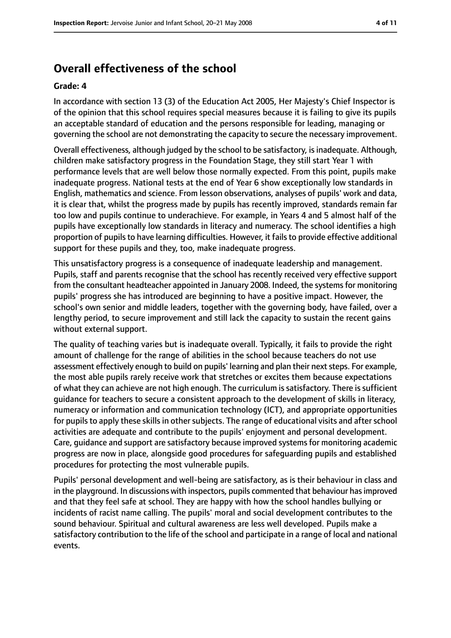# **Overall effectiveness of the school**

#### **Grade: 4**

In accordance with section 13 (3) of the Education Act 2005, Her Majesty's Chief Inspector is of the opinion that this school requires special measures because it is failing to give its pupils an acceptable standard of education and the persons responsible for leading, managing or governing the school are not demonstrating the capacity to secure the necessary improvement.

Overall effectiveness, although judged by the school to be satisfactory, is inadequate. Although, children make satisfactory progress in the Foundation Stage, they still start Year 1 with performance levels that are well below those normally expected. From this point, pupils make inadequate progress. National tests at the end of Year 6 show exceptionally low standards in English, mathematics and science. From lesson observations, analyses of pupils' work and data, it is clear that, whilst the progress made by pupils has recently improved, standards remain far too low and pupils continue to underachieve. For example, in Years 4 and 5 almost half of the pupils have exceptionally low standards in literacy and numeracy. The school identifies a high proportion of pupils to have learning difficulties. However, it fails to provide effective additional support for these pupils and they, too, make inadequate progress.

This unsatisfactory progress is a consequence of inadequate leadership and management. Pupils, staff and parents recognise that the school has recently received very effective support from the consultant headteacher appointed in January 2008. Indeed, the systems for monitoring pupils' progress she has introduced are beginning to have a positive impact. However, the school's own senior and middle leaders, together with the governing body, have failed, over a lengthy period, to secure improvement and still lack the capacity to sustain the recent gains without external support.

The quality of teaching varies but is inadequate overall. Typically, it fails to provide the right amount of challenge for the range of abilities in the school because teachers do not use assessment effectively enough to build on pupils' learning and plan their next steps. For example, the most able pupils rarely receive work that stretches or excites them because expectations of what they can achieve are not high enough. The curriculum is satisfactory. There is sufficient guidance for teachers to secure a consistent approach to the development of skills in literacy, numeracy or information and communication technology (ICT), and appropriate opportunities for pupils to apply these skills in other subjects. The range of educational visits and after school activities are adequate and contribute to the pupils' enjoyment and personal development. Care, guidance and support are satisfactory because improved systems for monitoring academic progress are now in place, alongside good procedures for safeguarding pupils and established procedures for protecting the most vulnerable pupils.

Pupils' personal development and well-being are satisfactory, as is their behaviour in class and in the playground. In discussions with inspectors, pupils commented that behaviour hasimproved and that they feel safe at school. They are happy with how the school handles bullying or incidents of racist name calling. The pupils' moral and social development contributes to the sound behaviour. Spiritual and cultural awareness are less well developed. Pupils make a satisfactory contribution to the life of the school and participate in a range of local and national events.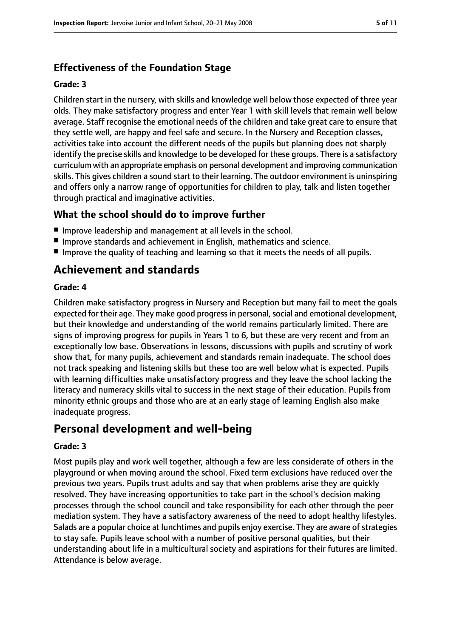# **Effectiveness of the Foundation Stage**

### **Grade: 3**

Children start in the nursery, with skills and knowledge well below those expected of three year olds. They make satisfactory progress and enter Year 1 with skill levels that remain well below average. Staff recognise the emotional needs of the children and take great care to ensure that they settle well, are happy and feel safe and secure. In the Nursery and Reception classes, activities take into account the different needs of the pupils but planning does not sharply identify the precise skills and knowledge to be developed for these groups. There is a satisfactory curriculum with an appropriate emphasis on personal development and improving communication skills. This gives children a sound start to their learning. The outdoor environment is uninspiring and offers only a narrow range of opportunities for children to play, talk and listen together through practical and imaginative activities.

# **What the school should do to improve further**

- Improve leadership and management at all levels in the school.
- Improve standards and achievement in English, mathematics and science.
- Improve the quality of teaching and learning so that it meets the needs of all pupils.

# **Achievement and standards**

### **Grade: 4**

Children make satisfactory progress in Nursery and Reception but many fail to meet the goals expected for their age. They make good progress in personal, social and emotional development, but their knowledge and understanding of the world remains particularly limited. There are signs of improving progress for pupils in Years 1 to 6, but these are very recent and from an exceptionally low base. Observations in lessons, discussions with pupils and scrutiny of work show that, for many pupils, achievement and standards remain inadequate. The school does not track speaking and listening skills but these too are well below what is expected. Pupils with learning difficulties make unsatisfactory progress and they leave the school lacking the literacy and numeracy skills vital to success in the next stage of their education. Pupils from minority ethnic groups and those who are at an early stage of learning English also make inadequate progress.

# **Personal development and well-being**

### **Grade: 3**

Most pupils play and work well together, although a few are less considerate of others in the playground or when moving around the school. Fixed term exclusions have reduced over the previous two years. Pupils trust adults and say that when problems arise they are quickly resolved. They have increasing opportunities to take part in the school's decision making processes through the school council and take responsibility for each other through the peer mediation system. They have a satisfactory awareness of the need to adopt healthy lifestyles. Salads are a popular choice at lunchtimes and pupils enjoy exercise. They are aware of strategies to stay safe. Pupils leave school with a number of positive personal qualities, but their understanding about life in a multicultural society and aspirations for their futures are limited. Attendance is below average.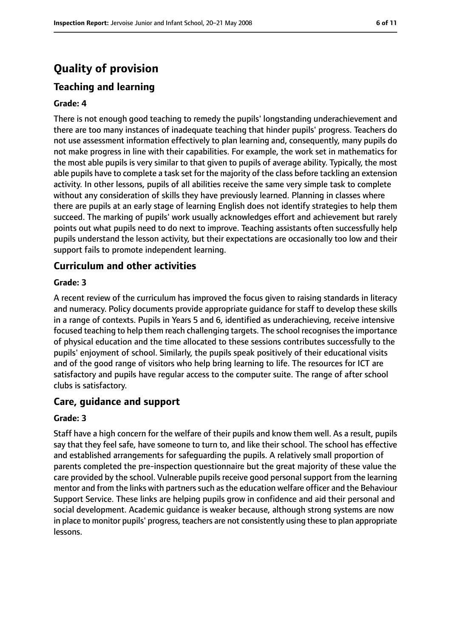# **Quality of provision**

### **Teaching and learning**

#### **Grade: 4**

There is not enough good teaching to remedy the pupils' longstanding underachievement and there are too many instances of inadequate teaching that hinder pupils' progress. Teachers do not use assessment information effectively to plan learning and, consequently, many pupils do not make progress in line with their capabilities. For example, the work set in mathematics for the most able pupils is very similar to that given to pupils of average ability. Typically, the most able pupils have to complete a task set for the majority of the class before tackling an extension activity. In other lessons, pupils of all abilities receive the same very simple task to complete without any consideration of skills they have previously learned. Planning in classes where there are pupils at an early stage of learning English does not identify strategies to help them succeed. The marking of pupils' work usually acknowledges effort and achievement but rarely points out what pupils need to do next to improve. Teaching assistants often successfully help pupils understand the lesson activity, but their expectations are occasionally too low and their support fails to promote independent learning.

#### **Curriculum and other activities**

#### **Grade: 3**

A recent review of the curriculum has improved the focus given to raising standards in literacy and numeracy. Policy documents provide appropriate guidance for staff to develop these skills in a range of contexts. Pupils in Years 5 and 6, identified as underachieving, receive intensive focused teaching to help them reach challenging targets. The school recognisesthe importance of physical education and the time allocated to these sessions contributes successfully to the pupils' enjoyment of school. Similarly, the pupils speak positively of their educational visits and of the good range of visitors who help bring learning to life. The resources for ICT are satisfactory and pupils have regular access to the computer suite. The range of after school clubs is satisfactory.

#### **Care, guidance and support**

#### **Grade: 3**

Staff have a high concern for the welfare of their pupils and know them well. As a result, pupils say that they feel safe, have someone to turn to, and like their school. The school has effective and established arrangements for safeguarding the pupils. A relatively small proportion of parents completed the pre-inspection questionnaire but the great majority of these value the care provided by the school. Vulnerable pupils receive good personal support from the learning mentor and from the links with partners such as the education welfare officer and the Behaviour Support Service. These links are helping pupils grow in confidence and aid their personal and social development. Academic guidance is weaker because, although strong systems are now in place to monitor pupils' progress, teachers are not consistently using these to plan appropriate lessons.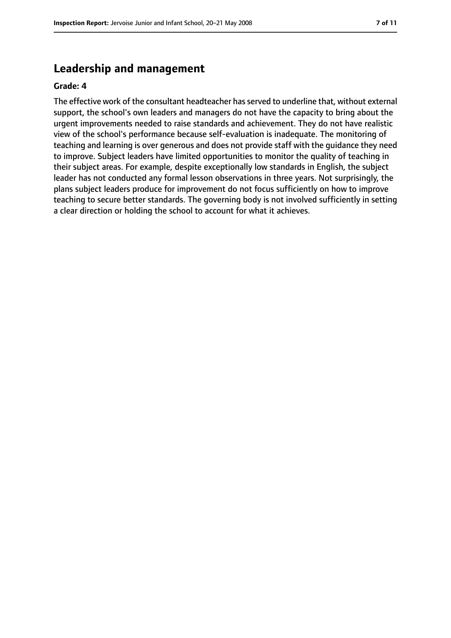# **Leadership and management**

#### **Grade: 4**

The effective work of the consultant headteacher has served to underline that, without external support, the school's own leaders and managers do not have the capacity to bring about the urgent improvements needed to raise standards and achievement. They do not have realistic view of the school's performance because self-evaluation is inadequate. The monitoring of teaching and learning is over generous and does not provide staff with the guidance they need to improve. Subject leaders have limited opportunities to monitor the quality of teaching in their subject areas. For example, despite exceptionally low standards in English, the subject leader has not conducted any formal lesson observations in three years. Not surprisingly, the plans subject leaders produce for improvement do not focus sufficiently on how to improve teaching to secure better standards. The governing body is not involved sufficiently in setting a clear direction or holding the school to account for what it achieves.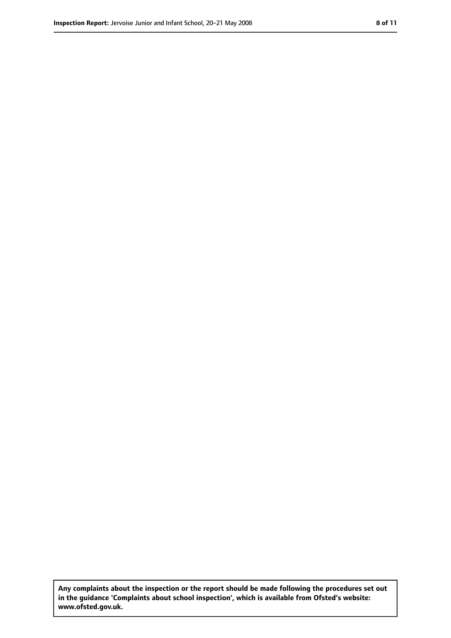**Any complaints about the inspection or the report should be made following the procedures set out in the guidance 'Complaints about school inspection', which is available from Ofsted's website: www.ofsted.gov.uk.**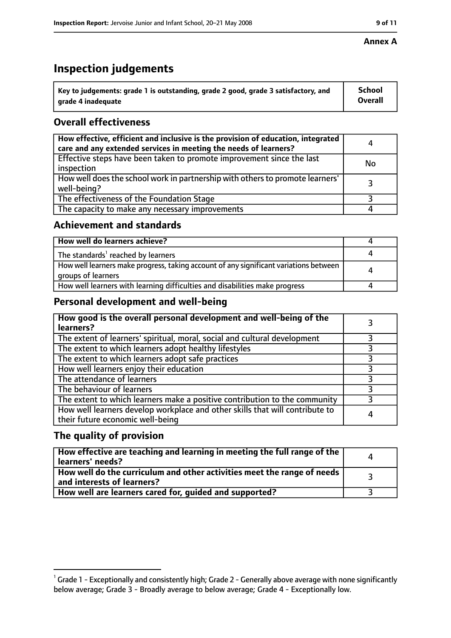# **Inspection judgements**

| $\dot{~}$ Key to judgements: grade 1 is outstanding, grade 2 good, grade 3 satisfactory, and | <b>School</b>  |
|----------------------------------------------------------------------------------------------|----------------|
| arade 4 inadequate                                                                           | <b>Overall</b> |

# **Overall effectiveness**

| How effective, efficient and inclusive is the provision of education, integrated<br>care and any extended services in meeting the needs of learners? | 4         |
|------------------------------------------------------------------------------------------------------------------------------------------------------|-----------|
| Effective steps have been taken to promote improvement since the last<br>inspection                                                                  | <b>No</b> |
| How well does the school work in partnership with others to promote learners'<br>well-being?                                                         |           |
| The effectiveness of the Foundation Stage                                                                                                            |           |
| The capacity to make any necessary improvements                                                                                                      |           |

### **Achievement and standards**

| How well do learners achieve?                                                                               |  |
|-------------------------------------------------------------------------------------------------------------|--|
| The standards <sup>1</sup> reached by learners                                                              |  |
| How well learners make progress, taking account of any significant variations between<br>groups of learners |  |
| How well learners with learning difficulties and disabilities make progress                                 |  |

# **Personal development and well-being**

| How good is the overall personal development and well-being of the<br>learners?                                  |  |
|------------------------------------------------------------------------------------------------------------------|--|
| The extent of learners' spiritual, moral, social and cultural development                                        |  |
| The extent to which learners adopt healthy lifestyles                                                            |  |
| The extent to which learners adopt safe practices                                                                |  |
| How well learners enjoy their education                                                                          |  |
| The attendance of learners                                                                                       |  |
| The behaviour of learners                                                                                        |  |
| The extent to which learners make a positive contribution to the community                                       |  |
| How well learners develop workplace and other skills that will contribute to<br>their future economic well-being |  |

### **The quality of provision**

| How effective are teaching and learning in meeting the full range of the<br>learners' needs?          |  |
|-------------------------------------------------------------------------------------------------------|--|
| How well do the curriculum and other activities meet the range of needs<br>and interests of learners? |  |
| How well are learners cared for, quided and supported?                                                |  |

 $^1$  Grade 1 - Exceptionally and consistently high; Grade 2 - Generally above average with none significantly below average; Grade 3 - Broadly average to below average; Grade 4 - Exceptionally low.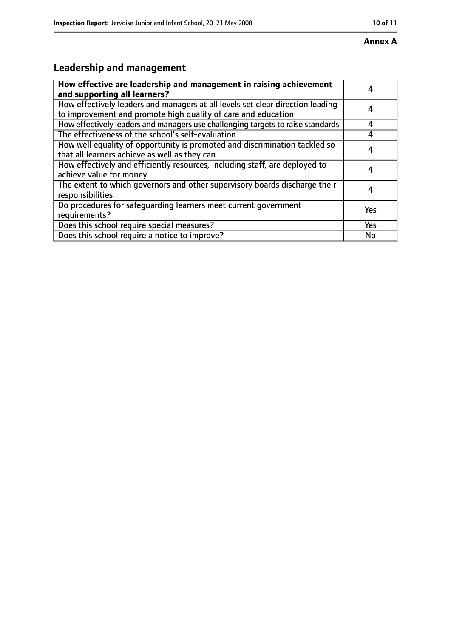# **Leadership and management**

| How effective are leadership and management in raising achievement<br>and supporting all learners?                                              |            |
|-------------------------------------------------------------------------------------------------------------------------------------------------|------------|
| How effectively leaders and managers at all levels set clear direction leading<br>to improvement and promote high quality of care and education |            |
| How effectively leaders and managers use challenging targets to raise standards                                                                 | Δ          |
| The effectiveness of the school's self-evaluation                                                                                               |            |
| How well equality of opportunity is promoted and discrimination tackled so<br>that all learners achieve as well as they can                     |            |
| How effectively and efficiently resources, including staff, are deployed to<br>achieve value for money                                          |            |
| The extent to which governors and other supervisory boards discharge their<br>responsibilities                                                  |            |
| Do procedures for safequarding learners meet current government<br>requirements?                                                                | Yes        |
| Does this school require special measures?                                                                                                      | <b>Yes</b> |
| Does this school require a notice to improve?                                                                                                   | No         |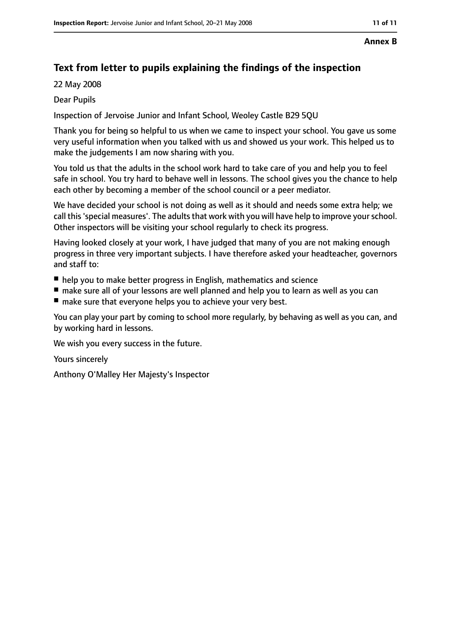#### **Annex B**

# **Text from letter to pupils explaining the findings of the inspection**

22 May 2008

### Dear Pupils

Inspection of Jervoise Junior and Infant School, Weoley Castle B29 5QU

Thank you for being so helpful to us when we came to inspect your school. You gave us some very useful information when you talked with us and showed us your work. This helped us to make the judgements I am now sharing with you.

You told us that the adults in the school work hard to take care of you and help you to feel safe in school. You try hard to behave well in lessons. The school gives you the chance to help each other by becoming a member of the school council or a peer mediator.

We have decided your school is not doing as well as it should and needs some extra help; we call this 'special measures'. The adults that work with you will have help to improve your school. Other inspectors will be visiting your school regularly to check its progress.

Having looked closely at your work, I have judged that many of you are not making enough progress in three very important subjects. I have therefore asked your headteacher, governors and staff to:

- help you to make better progress in English, mathematics and science
- make sure all of your lessons are well planned and help you to learn as well as you can
- make sure that everyone helps you to achieve your very best.

You can play your part by coming to school more regularly, by behaving as well as you can, and by working hard in lessons.

We wish you every success in the future.

Yours sincerely

Anthony O'Malley Her Majesty's Inspector